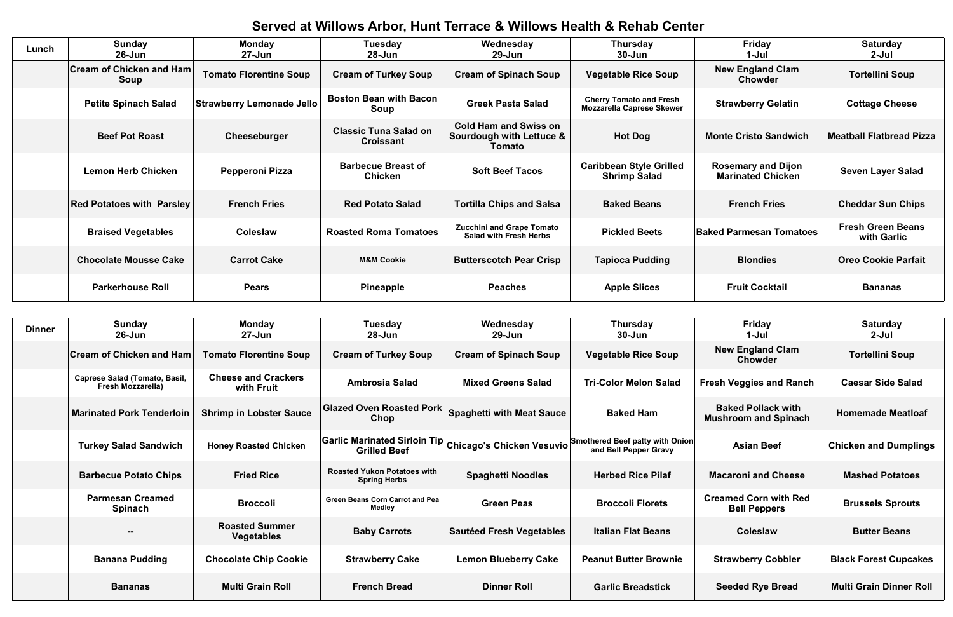## **Served at Willows Arbor, Hunt Terrace & Willows Health & Rehab Center**

| Served at Willows Arbor, Hunt Terrace & Willows Health & Reliab Genter |                                         |                                  |                                                  |                                                                           |                                                                    |                                                       |                                         |
|------------------------------------------------------------------------|-----------------------------------------|----------------------------------|--------------------------------------------------|---------------------------------------------------------------------------|--------------------------------------------------------------------|-------------------------------------------------------|-----------------------------------------|
| Lunch                                                                  | <b>Sunday</b><br>$26 - Jun$             | <b>Monday</b><br>$27 - Jun$      | <b>Tuesday</b><br>$28 - Jun$                     | Wednesday<br>$29 - Jun$                                                   | <b>Thursday</b><br>$30 - Jun$                                      | <b>Friday</b><br>$1-Jul$                              | <b>Saturday</b><br>$2-Jul$              |
|                                                                        | <b>Cream of Chicken and Ham</b><br>Soup | <b>Tomato Florentine Soup</b>    | <b>Cream of Turkey Soup</b>                      | <b>Cream of Spinach Soup</b>                                              | <b>Vegetable Rice Soup</b>                                         | <b>New England Clam</b><br><b>Chowder</b>             | <b>Tortellini Soup</b>                  |
|                                                                        | <b>Petite Spinach Salad</b>             | <b>Strawberry Lemonade Jello</b> | <b>Boston Bean with Bacon</b><br><b>Soup</b>     | <b>Greek Pasta Salad</b>                                                  | <b>Cherry Tomato and Fresh</b><br><b>Mozzarella Caprese Skewer</b> | <b>Strawberry Gelatin</b>                             | <b>Cottage Cheese</b>                   |
|                                                                        | <b>Beef Pot Roast</b>                   | Cheeseburger                     | <b>Classic Tuna Salad on</b><br><b>Croissant</b> | <b>Cold Ham and Swiss on</b><br>Sourdough with Lettuce &<br><b>Tomato</b> | <b>Hot Dog</b>                                                     | <b>Monte Cristo Sandwich</b>                          | <b>Meatball Flatbread Pizza</b>         |
|                                                                        | <b>Lemon Herb Chicken</b>               | Pepperoni Pizza                  | <b>Barbecue Breast of</b><br><b>Chicken</b>      | <b>Soft Beef Tacos</b>                                                    | <b>Caribbean Style Grilled</b><br><b>Shrimp Salad</b>              | <b>Rosemary and Dijon</b><br><b>Marinated Chicken</b> | <b>Seven Layer Salad</b>                |
|                                                                        | <b>Red Potatoes with Parsley</b>        | <b>French Fries</b>              | <b>Red Potato Salad</b>                          | <b>Tortilla Chips and Salsa</b>                                           | <b>Baked Beans</b>                                                 | <b>French Fries</b>                                   | <b>Cheddar Sun Chips</b>                |
|                                                                        | <b>Braised Vegetables</b>               | <b>Coleslaw</b>                  | <b>Roasted Roma Tomatoes</b>                     | <b>Zucchini and Grape Tomato</b><br><b>Salad with Fresh Herbs</b>         | <b>Pickled Beets</b>                                               | <b>Baked Parmesan Tomatoes</b>                        | <b>Fresh Green Beans</b><br>with Garlic |
|                                                                        | <b>Chocolate Mousse Cake</b>            | <b>Carrot Cake</b>               | <b>M&amp;M Cookie</b>                            | <b>Butterscotch Pear Crisp</b>                                            | <b>Tapioca Pudding</b>                                             | <b>Blondies</b>                                       | <b>Oreo Cookie Parfait</b>              |
|                                                                        | <b>Parkerhouse Roll</b>                 | <b>Pears</b>                     | Pineapple                                        | <b>Peaches</b>                                                            | <b>Apple Slices</b>                                                | <b>Fruit Cocktail</b>                                 | <b>Bananas</b>                          |
|                                                                        |                                         |                                  |                                                  |                                                                           |                                                                    |                                                       |                                         |
| <b>Dinner</b>                                                          | <b>Sunday</b><br>$26 - Jun$             | <b>Monday</b><br>$27 - Jun$      | <b>Tuesday</b><br>$28 - Jun$                     | Wednesday<br>$29 - Jun$                                                   | <b>Thursday</b><br>$30 - Jun$                                      | <b>Friday</b><br>1-Jul                                | <b>Saturday</b><br>$2-Jul$              |
|                                                                        | <b>Cream of Chicken and Ham</b>         | <b>Tomato Florentine Soup</b>    | <b>Cream of Turkey Soup</b>                      | <b>Cream of Spinach Soup</b>                                              | <b>Vegetable Rice Soup</b>                                         | <b>New England Clam</b><br>Chowder                    | <b>Tortellini Soup</b>                  |
|                                                                        | <b>Caprese Salad (Tomato, Basil,</b>    | <b>Cheese and Crackers</b>       | Ambrosia Salad                                   | Mixed Greens Salad                                                        | <b>Tri-Color Melon Salad</b>                                       | <b>Fresh Vennies and Ranch</b>                        | Caesar Side Salad                       |

**Homemade Meatloaf**

**Asian Beef Chicken and Dumplings** 

| <b>Dinner</b> | Sunday                                                           | <b>Monday</b>                              | <b>Tuesday</b>                                            | Wednesday                        | <b>Thursday</b>                                                                                                        | <b>Friday</b>                                            | <b>Saturday</b>             |
|---------------|------------------------------------------------------------------|--------------------------------------------|-----------------------------------------------------------|----------------------------------|------------------------------------------------------------------------------------------------------------------------|----------------------------------------------------------|-----------------------------|
|               | $26$ -Jun                                                        | 27-Jun                                     | $28 - Jun$                                                | $29 - Jun$                       | $30 - Jun$                                                                                                             | 1-Jul                                                    | $2-Jul$                     |
|               | <b>Cream of Chicken and Ham</b>                                  | <b>Tomato Florentine Soup</b>              | <b>Cream of Turkey Soup</b>                               | <b>Cream of Spinach Soup</b>     | <b>Vegetable Rice Soup</b>                                                                                             | <b>New England Clam</b><br><b>Chowder</b>                | <b>Tortellini Soup</b>      |
|               | <b>Caprese Salad (Tomato, Basil,</b><br><b>Fresh Mozzarella)</b> | <b>Cheese and Crackers</b><br>with Fruit   | <b>Ambrosia Salad</b>                                     | <b>Mixed Greens Salad</b>        | <b>Tri-Color Melon Salad</b>                                                                                           | <b>Fresh Veggies and Ranch</b>                           | <b>Caesar Side Salad</b>    |
|               | <b>Marinated Pork Tenderloin</b>                                 | <b>Shrimp in Lobster Sauce</b>             | <b>Glazed Oven Roasted Pork</b><br>Chop                   | <b>Spaghetti with Meat Sauce</b> | <b>Baked Ham</b>                                                                                                       | <b>Baked Pollack with</b><br><b>Mushroom and Spinach</b> | <b>Homemade Meatloa</b>     |
|               | <b>Turkey Salad Sandwich</b>                                     | <b>Honey Roasted Chicken</b>               | <b>Grilled Beef</b>                                       |                                  | <b>Garlic Marinated Sirloin Tip</b> Chicago's Chicken Vesuvio Smothered Beef patty with Onion<br>and Bell Pepper Gravy | <b>Asian Beef</b>                                        | <b>Chicken and Dumplir</b>  |
|               | <b>Barbecue Potato Chips</b>                                     | <b>Fried Rice</b>                          | <b>Roasted Yukon Potatoes with</b><br><b>Spring Herbs</b> | <b>Spaghetti Noodles</b>         | <b>Herbed Rice Pilaf</b>                                                                                               | <b>Macaroni and Cheese</b>                               | <b>Mashed Potatoes</b>      |
|               | <b>Parmesan Creamed</b><br><b>Spinach</b>                        | <b>Broccoli</b>                            | <b>Green Beans Corn Carrot and Pea</b><br><b>Medley</b>   | <b>Green Peas</b>                | <b>Broccoli Florets</b>                                                                                                | <b>Creamed Corn with Red</b><br><b>Bell Peppers</b>      | <b>Brussels Sprouts</b>     |
|               | $- -$                                                            | <b>Roasted Summer</b><br><b>Vegetables</b> | <b>Baby Carrots</b>                                       | <b>Sautéed Fresh Vegetables</b>  | <b>Italian Flat Beans</b>                                                                                              | <b>Coleslaw</b>                                          | <b>Butter Beans</b>         |
|               | <b>Banana Pudding</b>                                            | <b>Chocolate Chip Cookie</b>               | <b>Strawberry Cake</b>                                    | <b>Lemon Blueberry Cake</b>      | <b>Peanut Butter Brownie</b>                                                                                           | <b>Strawberry Cobbler</b>                                | <b>Black Forest Cupcak</b>  |
|               | <b>Bananas</b>                                                   | <b>Multi Grain Roll</b>                    | <b>French Bread</b>                                       | <b>Dinner Roll</b>               | <b>Garlic Breadstick</b>                                                                                               | <b>Seeded Rye Bread</b>                                  | <b>Multi Grain Dinner R</b> |

**Strawberry Cobbler** | **Black Forest Cupcakes** 

**Seeded Rye Bread | Multi Grain Dinner Roll**